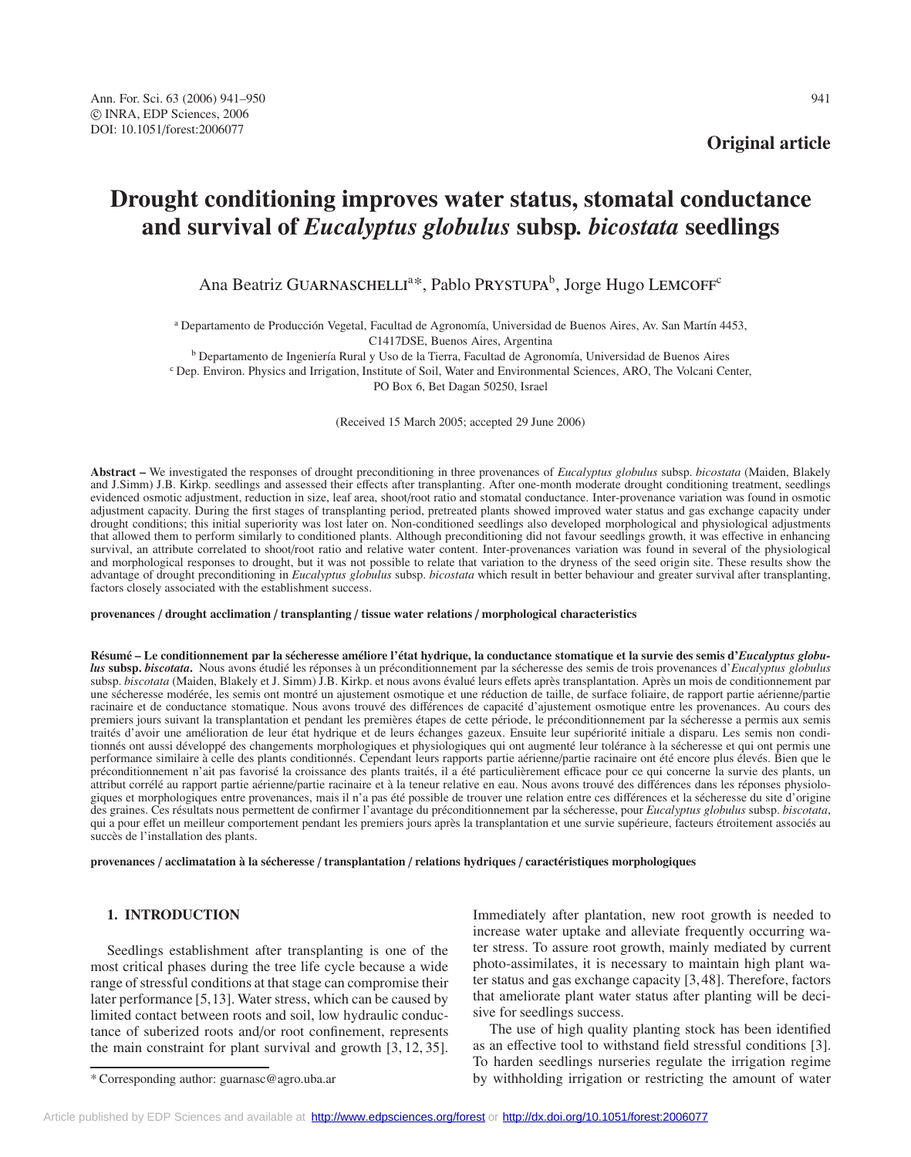**Original article**

# **Drought conditioning improves water status, stomatal conductance and survival of** *Eucalyptus globulus* **subsp***. bicostata* **seedlings**

Ana Beatriz GUARNASCHELLI<sup>a\*</sup>, Pablo PRYSTUPA<sup>b</sup>, Jorge Hugo LEMCOFF<sup>c</sup>

<sup>a</sup> Departamento de Producción Vegetal, Facultad de Agronomía, Universidad de Buenos Aires, Av. San Martín 4453, C1417DSE, Buenos Aires, Argentina

<sup>b</sup> Departamento de Ingeniería Rural y Uso de la Tierra, Facultad de Agronomía, Universidad de Buenos Aires

<sup>c</sup> Dep. Environ. Physics and Irrigation, Institute of Soil, Water and Environmental Sciences, ARO, The Volcani Center,

PO Box 6, Bet Dagan 50250, Israel

(Received 15 March 2005; accepted 29 June 2006)

**Abstract –** We investigated the responses of drought preconditioning in three provenances of *Eucalyptus globulus* subsp. *bicostata* (Maiden, Blakely and J.Simm) J.B. Kirkp. seedlings and assessed their effects after transplanting. After one-month moderate drought conditioning treatment, seedlings evidenced osmotic adjustment, reduction in size, leaf area, shoot/root ratio and stomatal conductance. Inter-provenance variation was found in osmotic adjustment capacity. During the first stages of transplanting period, pretreated plants showed improved water status and gas exchange capacity under drought conditions; this initial superiority was lost later on. Non-conditioned seedlings also developed morphological and physiological adjustments that allowed them to perform similarly to conditioned plants. Although preconditioning did not favour seedlings growth, it was effective in enhancing survival, an attribute correlated to shoot/root ratio and relative water content. Inter-provenances variation was found in several of the physiological and morphological responses to drought, but it was not possible to relate that variation to the dryness of the seed origin site. These results show the advantage of drought preconditioning in *Eucalyptus globulus* subsp. *bicostata* which result in better behaviour and greater survival after transplanting, factors closely associated with the establishment success.

**provenances** / **drought acclimation** / **transplanting** / **tissue water relations** / **morphological characteristics**

**Résumé – Le conditionnement par la sécheresse améliore l'état hydrique, la conductance stomatique et la survie des semis d'***Eucalyptus globulus* **subsp.** *biscotata***.** Nous avons étudié les réponses à un préconditionnement par la sécheresse des semis de trois provenances d'*Eucalyptus globulus* subsp. *biscotata* (Maiden, Blakely et J. Simm) J.B. Kirkp. et nous avons évalué leurs effets après transplantation. Après un mois de conditionnement par une sécheresse modérée, les semis ont montré un ajustement osmotique et une réduction de taille, de surface foliaire, de rapport partie aérienne/partie racinaire et de conductance stomatique. Nous avons trouvé des différences de capacité d'ajustement osmotique entre les provenances. Au cours des premiers jours suivant la transplantation et pendant les premières étapes de cette période, le préconditionnement par la sécheresse a permis aux semis traités d'avoir une amélioration de leur état hydrique et de leurs échanges gazeux. Ensuite leur supériorité initiale a disparu. Les semis non conditionnés ont aussi développé des changements morphologiques et physiologiques qui ont augmenté leur tolérance à la sécheresse et qui ont permis une performance similaire à celle des plants conditionnés. Cependant leurs rapports partie aérienne/partie racinaire ont été encore plus élevés. Bien que le préconditionnement n'ait pas favorisé la croissance des plants traités, il a été particulièrement efficace pour ce qui concerne la survie des plants, un attribut corrélé au rapport partie aérienne/partie racinaire et à la teneur relative en eau. Nous avons trouvé des différences dans les réponses physiologiques et morphologiques entre provenances, mais il n'a pas été possible de trouver une relation entre ces différences et la sécheresse du site d'origine des graines. Ces résultats nous permettent de confirmer l'avantage du préconditionnement par la sécheresse, pour *Eucalyptus globulus* subsp. *biscotata*, qui a pour effet un meilleur comportement pendant les premiers jours après la transplantation et une survie supérieure, facteurs étroitement associés au succès de l'installation des plants.

**provenances** / **acclimatation à la sécheresse** / **transplantation** / **relations hydriques** / **caractéristiques morphologiques**

# **1. INTRODUCTION**

Seedlings establishment after transplanting is one of the most critical phases during the tree life cycle because a wide range of stressful conditions at that stage can compromise their later performance [5,13]. Water stress, which can be caused by limited contact between roots and soil, low hydraulic conductance of suberized roots and/or root confinement, represents the main constraint for plant survival and growth [3, 12, 35].

Immediately after plantation, new root growth is needed to increase water uptake and alleviate frequently occurring water stress. To assure root growth, mainly mediated by current photo-assimilates, it is necessary to maintain high plant water status and gas exchange capacity [3,48]. Therefore, factors that ameliorate plant water status after planting will be decisive for seedlings success.

The use of high quality planting stock has been identified as an effective tool to withstand field stressful conditions [3]. To harden seedlings nurseries regulate the irrigation regime by withholding irrigation or restricting the amount of water

<sup>\*</sup> Corresponding author: guarnasc@agro.uba.ar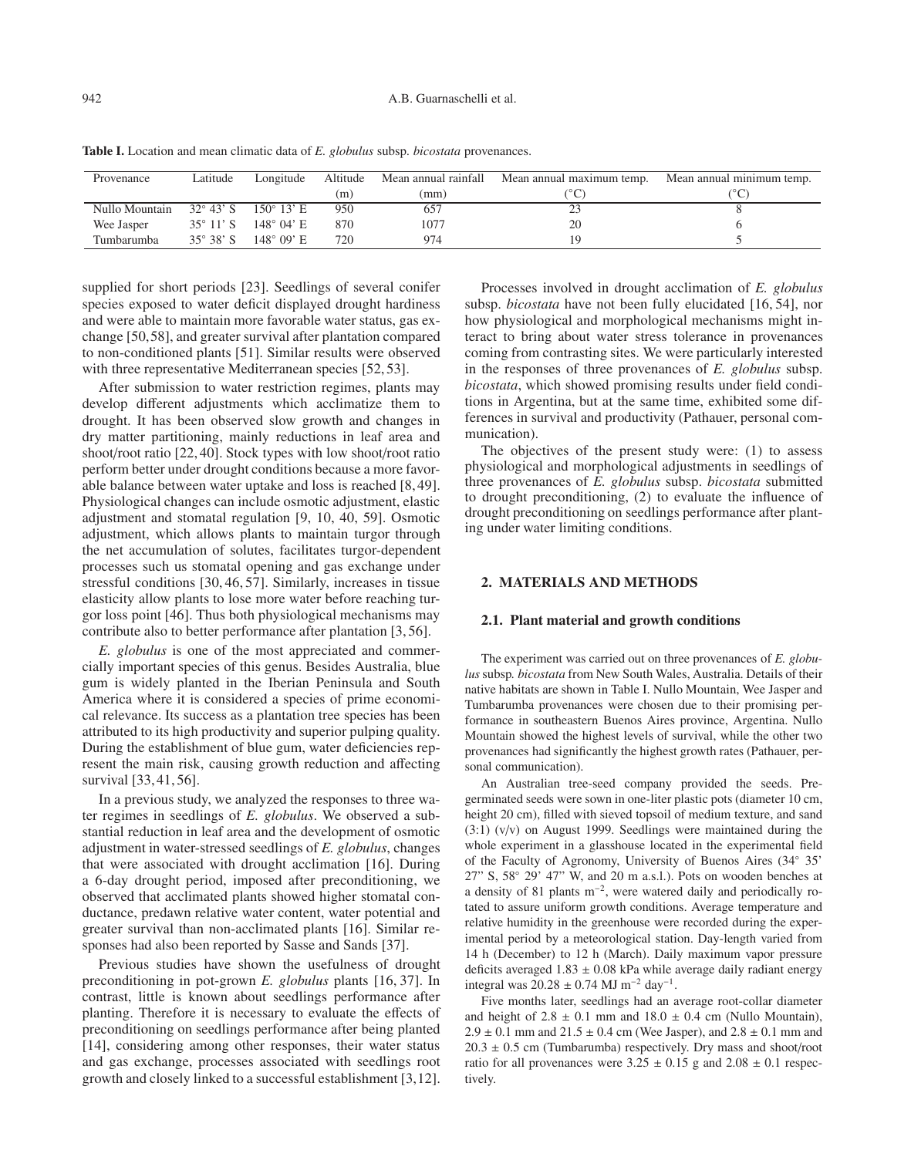| Provenance     | Latitude            | Longitude                              | Altitude | Mean annual rainfall | Mean annual maximum temp. | Mean annual minimum temp. |
|----------------|---------------------|----------------------------------------|----------|----------------------|---------------------------|---------------------------|
|                |                     |                                        | (m)      | (mm)                 | $^{\circ}\mathrm{C}$      |                           |
| Nullo Mountain |                     | $32^{\circ} 43'$ S $150^{\circ} 13'$ E | 950      |                      |                           |                           |
| Wee Jasper     | 35 $^{\circ}$ 11' S | $148^{\circ}$ 04' E                    | 870      | 1077                 | 20                        |                           |
| Tumbarumba     | $35^{\circ} 38'$ S  | $148^{\circ}$ 09' E                    | 720      | 974                  | -9                        |                           |

**Table I.** Location and mean climatic data of *E. globulus* subsp. *bicostata* provenances.

supplied for short periods [23]. Seedlings of several conifer species exposed to water deficit displayed drought hardiness and were able to maintain more favorable water status, gas exchange [50,58], and greater survival after plantation compared to non-conditioned plants [51]. Similar results were observed with three representative Mediterranean species [52, 53].

After submission to water restriction regimes, plants may develop different adjustments which acclimatize them to drought. It has been observed slow growth and changes in dry matter partitioning, mainly reductions in leaf area and shoot/root ratio [22, 40]. Stock types with low shoot/root ratio perform better under drought conditions because a more favorable balance between water uptake and loss is reached [8, 49]. Physiological changes can include osmotic adjustment, elastic adjustment and stomatal regulation [9, 10, 40, 59]. Osmotic adjustment, which allows plants to maintain turgor through the net accumulation of solutes, facilitates turgor-dependent processes such us stomatal opening and gas exchange under stressful conditions [30, 46, 57]. Similarly, increases in tissue elasticity allow plants to lose more water before reaching turgor loss point [46]. Thus both physiological mechanisms may contribute also to better performance after plantation [3, 56].

*E. globulus* is one of the most appreciated and commercially important species of this genus. Besides Australia, blue gum is widely planted in the Iberian Peninsula and South America where it is considered a species of prime economical relevance. Its success as a plantation tree species has been attributed to its high productivity and superior pulping quality. During the establishment of blue gum, water deficiencies represent the main risk, causing growth reduction and affecting survival [33, 41, 56].

In a previous study, we analyzed the responses to three water regimes in seedlings of *E. globulus*. We observed a substantial reduction in leaf area and the development of osmotic adjustment in water-stressed seedlings of *E. globulus*, changes that were associated with drought acclimation [16]. During a 6-day drought period, imposed after preconditioning, we observed that acclimated plants showed higher stomatal conductance, predawn relative water content, water potential and greater survival than non-acclimated plants [16]. Similar responses had also been reported by Sasse and Sands [37].

Previous studies have shown the usefulness of drought preconditioning in pot-grown *E. globulus* plants [16, 37]. In contrast, little is known about seedlings performance after planting. Therefore it is necessary to evaluate the effects of preconditioning on seedlings performance after being planted [14], considering among other responses, their water status and gas exchange, processes associated with seedlings root growth and closely linked to a successful establishment [3,12].

Processes involved in drought acclimation of *E. globulus* subsp. *bicostata* have not been fully elucidated [16, 54], nor how physiological and morphological mechanisms might interact to bring about water stress tolerance in provenances coming from contrasting sites. We were particularly interested in the responses of three provenances of *E. globulus* subsp. *bicostata*, which showed promising results under field conditions in Argentina, but at the same time, exhibited some differences in survival and productivity (Pathauer, personal communication).

The objectives of the present study were: (1) to assess physiological and morphological adjustments in seedlings of three provenances of *E. globulus* subsp. *bicostata* submitted to drought preconditioning, (2) to evaluate the influence of drought preconditioning on seedlings performance after planting under water limiting conditions.

# **2. MATERIALS AND METHODS**

## **2.1. Plant material and growth conditions**

The experiment was carried out on three provenances of *E. globulus*subsp*. bicostata* from New South Wales, Australia. Details of their native habitats are shown in Table I. Nullo Mountain, Wee Jasper and Tumbarumba provenances were chosen due to their promising performance in southeastern Buenos Aires province, Argentina. Nullo Mountain showed the highest levels of survival, while the other two provenances had significantly the highest growth rates (Pathauer, personal communication).

An Australian tree-seed company provided the seeds. Pregerminated seeds were sown in one-liter plastic pots (diameter 10 cm, height 20 cm), filled with sieved topsoil of medium texture, and sand (3:1) (v/v) on August 1999. Seedlings were maintained during the whole experiment in a glasshouse located in the experimental field of the Faculty of Agronomy, University of Buenos Aires (34◦ 35' 27" S, 58° 29' 47" W, and 20 m a.s.l.). Pots on wooden benches at a density of 81 plants m−2, were watered daily and periodically rotated to assure uniform growth conditions. Average temperature and relative humidity in the greenhouse were recorded during the experimental period by a meteorological station. Day-length varied from 14 h (December) to 12 h (March). Daily maximum vapor pressure deficits averaged  $1.83 \pm 0.08$  kPa while average daily radiant energy integral was 20.28 ± 0.74 MJ m<sup>-2</sup> day<sup>-1</sup>.

Five months later, seedlings had an average root-collar diameter and height of  $2.8 \pm 0.1$  mm and  $18.0 \pm 0.4$  cm (Nullo Mountain),  $2.9 \pm 0.1$  mm and  $21.5 \pm 0.4$  cm (Wee Jasper), and  $2.8 \pm 0.1$  mm and  $20.3 \pm 0.5$  cm (Tumbarumba) respectively. Dry mass and shoot/root ratio for all provenances were  $3.25 \pm 0.15$  g and  $2.08 \pm 0.1$  respectively.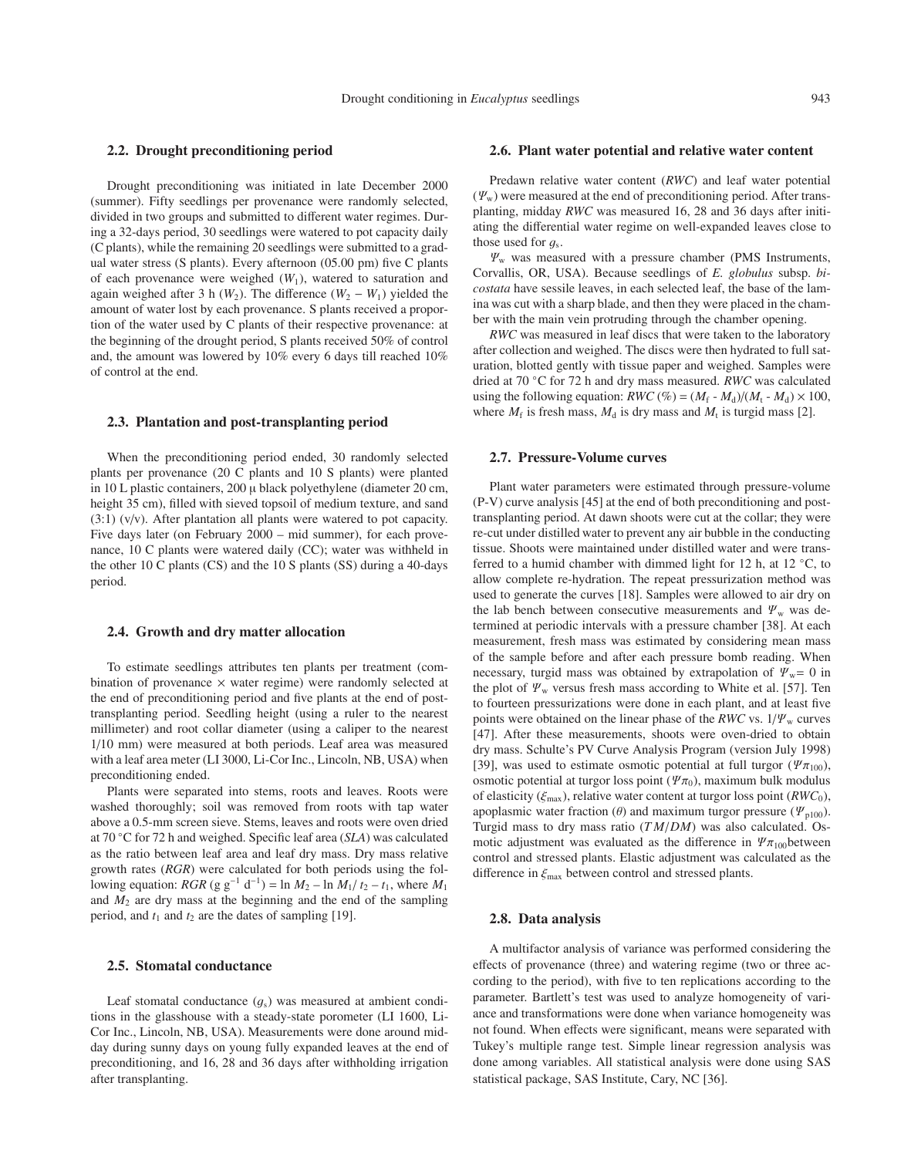#### **2.2. Drought preconditioning period**

Drought preconditioning was initiated in late December 2000 (summer). Fifty seedlings per provenance were randomly selected, divided in two groups and submitted to different water regimes. During a 32-days period, 30 seedlings were watered to pot capacity daily (C plants), while the remaining 20 seedlings were submitted to a gradual water stress (S plants). Every afternoon (05.00 pm) five C plants of each provenance were weighed  $(W_1)$ , watered to saturation and again weighed after 3 h ( $W_2$ ). The difference ( $W_2 - W_1$ ) yielded the amount of water lost by each provenance. S plants received a proportion of the water used by C plants of their respective provenance: at the beginning of the drought period, S plants received 50% of control and, the amount was lowered by 10% every 6 days till reached 10% of control at the end.

#### **2.3. Plantation and post-transplanting period**

When the preconditioning period ended, 30 randomly selected plants per provenance (20 C plants and 10 S plants) were planted in 10 L plastic containers, 200 µ black polyethylene (diameter 20 cm, height 35 cm), filled with sieved topsoil of medium texture, and sand  $(3:1)$  (v/v). After plantation all plants were watered to pot capacity. Five days later (on February 2000 – mid summer), for each provenance, 10 C plants were watered daily (CC); water was withheld in the other 10 C plants (CS) and the 10 S plants (SS) during a 40-days period.

## **2.4. Growth and dry matter allocation**

To estimate seedlings attributes ten plants per treatment (combination of provenance  $\times$  water regime) were randomly selected at the end of preconditioning period and five plants at the end of posttransplanting period. Seedling height (using a ruler to the nearest millimeter) and root collar diameter (using a caliper to the nearest 1/10 mm) were measured at both periods. Leaf area was measured with a leaf area meter (LI 3000, Li-Cor Inc., Lincoln, NB, USA) when preconditioning ended.

Plants were separated into stems, roots and leaves. Roots were washed thoroughly; soil was removed from roots with tap water above a 0.5-mm screen sieve. Stems, leaves and roots were oven dried at 70 ◦C for 72 h and weighed. Specific leaf area (*SLA*) was calculated as the ratio between leaf area and leaf dry mass. Dry mass relative growth rates (*RGR*) were calculated for both periods using the following equation: *RGR* (g g<sup>-1</sup> d<sup>-1</sup>) = ln *M*<sub>2</sub> – ln *M*<sub>1</sub>/ *t*<sub>2</sub> – *t*<sub>1</sub>, where *M*<sub>1</sub> and  $M_2$  are dry mass at the beginning and the end of the sampling period, and  $t_1$  and  $t_2$  are the dates of sampling [19].

#### **2.5. Stomatal conductance**

Leaf stomatal conductance  $(g_s)$  was measured at ambient conditions in the glasshouse with a steady-state porometer (LI 1600, Li-Cor Inc., Lincoln, NB, USA). Measurements were done around midday during sunny days on young fully expanded leaves at the end of preconditioning, and 16, 28 and 36 days after withholding irrigation after transplanting.

#### **2.6. Plant water potential and relative water content**

Predawn relative water content (*RWC*) and leaf water potential  $(\Psi_w)$  were measured at the end of preconditioning period. After transplanting, midday *RWC* was measured 16, 28 and 36 days after initiating the differential water regime on well-expanded leaves close to those used for  $a_{s}$ .

 $\Psi_{\rm w}$  was measured with a pressure chamber (PMS Instruments, Corvallis, OR, USA). Because seedlings of *E. globulus* subsp. *bicostata* have sessile leaves, in each selected leaf, the base of the lamina was cut with a sharp blade, and then they were placed in the chamber with the main vein protruding through the chamber opening.

*RWC* was measured in leaf discs that were taken to the laboratory after collection and weighed. The discs were then hydrated to full saturation, blotted gently with tissue paper and weighed. Samples were dried at 70 ◦C for 72 h and dry mass measured. *RWC* was calculated using the following equation:  $RWC \, (\%) = (M_f - M_d)/(M_t - M_d) \times 100$ , where  $M_f$  is fresh mass,  $M_d$  is dry mass and  $M_t$  is turgid mass [2].

#### **2.7. Pressure-Volume curves**

Plant water parameters were estimated through pressure-volume (P-V) curve analysis [45] at the end of both preconditioning and posttransplanting period. At dawn shoots were cut at the collar; they were re-cut under distilled water to prevent any air bubble in the conducting tissue. Shoots were maintained under distilled water and were transferred to a humid chamber with dimmed light for 12 h, at 12 ◦C, to allow complete re-hydration. The repeat pressurization method was used to generate the curves [18]. Samples were allowed to air dry on the lab bench between consecutive measurements and  $\Psi_w$  was determined at periodic intervals with a pressure chamber [38]. At each measurement, fresh mass was estimated by considering mean mass of the sample before and after each pressure bomb reading. When necessary, turgid mass was obtained by extrapolation of  $\Psi_w = 0$  in the plot of  $\Psi_{\rm w}$  versus fresh mass according to White et al. [57]. Ten to fourteen pressurizations were done in each plant, and at least five points were obtained on the linear phase of the *RWC* vs.  $1/\Psi_{\rm w}$  curves [47]. After these measurements, shoots were oven-dried to obtain dry mass. Schulte's PV Curve Analysis Program (version July 1998) [39], was used to estimate osmotic potential at full turgor ( $\Psi \pi_{100}$ ), osmotic potential at turgor loss point ( $\Psi \pi_0$ ), maximum bulk modulus of elasticity ( $\xi_{\text{max}}$ ), relative water content at turgor loss point ( $RWC_0$ ), apoplasmic water fraction ( $\theta$ ) and maximum turgor pressure ( $\Psi_{p100}$ ). Turgid mass to dry mass ratio (*T M*/*DM*) was also calculated. Osmotic adjustment was evaluated as the difference in  $\Psi \pi_{100}$  between control and stressed plants. Elastic adjustment was calculated as the difference in  $\xi_{\text{max}}$  between control and stressed plants.

#### **2.8. Data analysis**

A multifactor analysis of variance was performed considering the effects of provenance (three) and watering regime (two or three according to the period), with five to ten replications according to the parameter. Bartlett's test was used to analyze homogeneity of variance and transformations were done when variance homogeneity was not found. When effects were significant, means were separated with Tukey's multiple range test. Simple linear regression analysis was done among variables. All statistical analysis were done using SAS statistical package, SAS Institute, Cary, NC [36].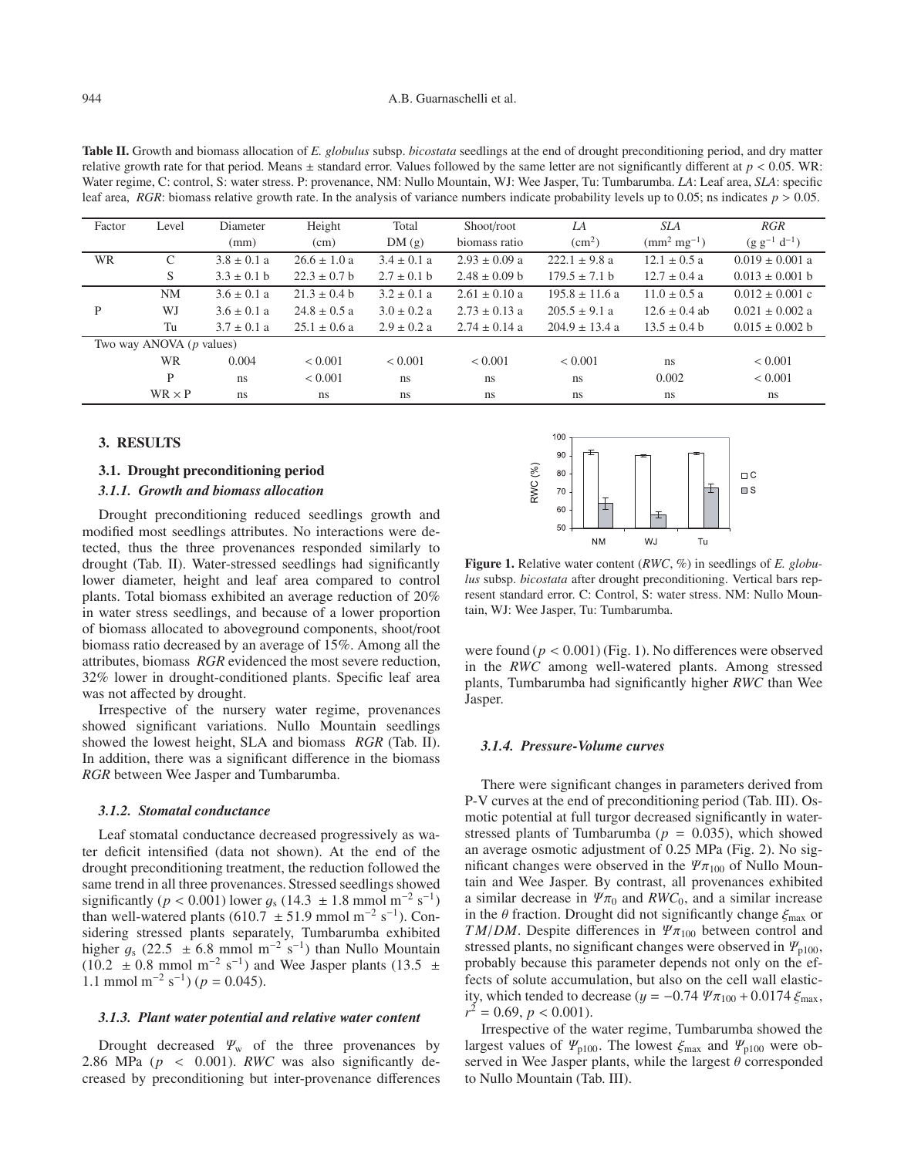**Table II.** Growth and biomass allocation of *E. globulus* subsp. *bicostata* seedlings at the end of drought preconditioning period, and dry matter relative growth rate for that period. Means  $\pm$  standard error. Values followed by the same letter are not significantly different at  $p < 0.05$ . WR: Water regime, C: control, S: water stress. P: provenance, NM: Nullo Mountain, WJ: Wee Jasper, Tu: Tumbarumba. *LA*: Leaf area, *SLA*: specific leaf area, *RGR*: biomass relative growth rate. In the analysis of variance numbers indicate probability levels up to 0.05; ns indicates  $p > 0.05$ .

| Factor                             | Level         | Diameter        | Height           | Total           | Shoot/root        | LA                 | <b>SLA</b>           | <b>RGR</b>          |
|------------------------------------|---------------|-----------------|------------------|-----------------|-------------------|--------------------|----------------------|---------------------|
|                                    |               | (mm)            | (cm)             | DM(g)           | biomass ratio     | $\rm (cm^2)$       | $\rm (mm^2~mg^{-1})$ | $(g g^{-1} d^{-1})$ |
| <b>WR</b>                          | C             | $3.8 \pm 0.1 a$ | $26.6 \pm 1.0 a$ | $3.4 \pm 0.1 a$ | $2.93 \pm 0.09$ a | $222.1 \pm 9.8$ a  | $12.1 \pm 0.5$ a     | $0.019 \pm 0.001$ a |
|                                    | S             | $3.3 \pm 0.1 b$ | $22.3 \pm 0.7$ b | $2.7 \pm 0.1$ b | $2.48 \pm 0.09$ b | $179.5 \pm 7.1$ b  | $12.7 \pm 0.4$ a     | $0.013 \pm 0.001$ b |
|                                    | <b>NM</b>     | $3.6 \pm 0.1 a$ | $21.3 \pm 0.4$ b | $3.2 \pm 0.1 a$ | $2.61 \pm 0.10$ a | $195.8 \pm 11.6$ a | $11.0 \pm 0.5 a$     | $0.012 \pm 0.001$ c |
| P                                  | W.J           | $3.6 \pm 0.1 a$ | $24.8 \pm 0.5$ a | $3.0 \pm 0.2 a$ | $2.73 \pm 0.13$ a | $205.5 \pm 9.1 a$  | $12.6 \pm 0.4$ ab    | $0.021 \pm 0.002$ a |
|                                    | Tu            | $3.7 \pm 0.1 a$ | $25.1 \pm 0.6$ a | $2.9 \pm 0.2 a$ | $2.74 \pm 0.14$ a | $204.9 \pm 13.4$ a | $13.5 \pm 0.4 b$     | $0.015 \pm 0.002$ b |
| Two way ANOVA $(p \text{ values})$ |               |                 |                  |                 |                   |                    |                      |                     |
|                                    | WR            | 0.004           | ${}< 0.001$      | < 0.001         | < 0.001           | ${}< 0.001$        | ns                   | ${}_{< 0.001}$      |
|                                    | P             | ns.             | ${}< 0.001$      | ns              | ns                | ns                 | 0.002                | ${}< 0.001$         |
|                                    | $WR \times P$ | ns              | <sub>ns</sub>    | ns              | <sub>ns</sub>     | ns                 | <sub>ns</sub>        | ns.                 |

## **3. RESULTS**

## **3.1. Drought preconditioning period**

# *3.1.1. Growth and biomass allocation*

Drought preconditioning reduced seedlings growth and modified most seedlings attributes. No interactions were detected, thus the three provenances responded similarly to drought (Tab. II). Water-stressed seedlings had significantly lower diameter, height and leaf area compared to control plants. Total biomass exhibited an average reduction of 20% in water stress seedlings, and because of a lower proportion of biomass allocated to aboveground components, shoot/root biomass ratio decreased by an average of 15%. Among all the attributes, biomass *RGR* evidenced the most severe reduction, 32% lower in drought-conditioned plants. Specific leaf area was not affected by drought.

Irrespective of the nursery water regime, provenances showed significant variations. Nullo Mountain seedlings showed the lowest height, SLA and biomass *RGR* (Tab. II). In addition, there was a significant difference in the biomass *RGR* between Wee Jasper and Tumbarumba.

#### *3.1.2. Stomatal conductance*

Leaf stomatal conductance decreased progressively as water deficit intensified (data not shown). At the end of the drought preconditioning treatment, the reduction followed the same trend in all three provenances. Stressed seedlings showed significantly (*p* < 0.001) lower  $q_s$  (14.3 ± 1.8 mmol m<sup>-2</sup> s<sup>-1</sup>) than well-watered plants (610.7  $\pm$  51.9 mmol m<sup>-2</sup> s<sup>-1</sup>). Considering stressed plants separately, Tumbarumba exhibited higher  $g_s$  (22.5  $\pm$  6.8 mmol m<sup>-2</sup> s<sup>-1</sup>) than Nullo Mountain<br>(10.2 + 0.8 mmol m<sup>-2</sup> s<sup>-1</sup>) and Wee Jasper plants (13.5 + (10.2  $\pm$  0.8 mmol m<sup>-2</sup> s<sup>-1</sup>) and Wee Jasper plants (13.5  $\pm$ 1.1 mmol m<sup>-2</sup> s<sup>-1</sup>) ( $p = 0.045$ ).

#### *3.1.3. Plant water potential and relative water content*

Drought decreased  $\Psi_w$  of the three provenances by 2.86 MPa ( $p \le 0.001$ ). *RWC* was also significantly decreased by preconditioning but inter-provenance differences



**Figure 1.** Relative water content (*RWC*, %) in seedlings of *E. globulus* subsp. *bicostata* after drought preconditioning. Vertical bars represent standard error. C: Control, S: water stress. NM: Nullo Mountain, WJ: Wee Jasper, Tu: Tumbarumba.

were found  $(p < 0.001)$  (Fig. 1). No differences were observed in the *RWC* among well-watered plants. Among stressed plants, Tumbarumba had significantly higher *RWC* than Wee Jasper.

#### *3.1.4. Pressure-Volume curves*

There were significant changes in parameters derived from P-V curves at the end of preconditioning period (Tab. III). Osmotic potential at full turgor decreased significantly in waterstressed plants of Tumbarumba ( $p = 0.035$ ), which showed an average osmotic adjustment of 0.25 MPa (Fig. 2). No significant changes were observed in the  $\Psi \pi_{100}$  of Nullo Mountain and Wee Jasper. By contrast, all provenances exhibited a similar decrease in  $\Psi \pi_0$  and *RWC*<sub>0</sub>, and a similar increase in the  $\theta$  fraction. Drought did not significantly change  $\xi_{\text{max}}$  or *TM*/*DM*. Despite differences in  $\Psi \pi_{100}$  between control and stressed plants, no significant changes were observed in  $\Psi_{p100}$ , probably because this parameter depends not only on the effects of solute accumulation, but also on the cell wall elasticity, which tended to decrease ( $y = -0.74 \Psi \pi_{100} + 0.0174 \xi_{\text{max}}$ ,  $r^2 = 0.69$ ,  $p < 0.001$ ).

Irrespective of the water regime, Tumbarumba showed the largest values of  $\Psi_{p100}$ . The lowest  $\xi_{\text{max}}$  and  $\Psi_{p100}$  were observed in Wee Jasper plants, while the largest  $\theta$  corresponded to Nullo Mountain (Tab. III).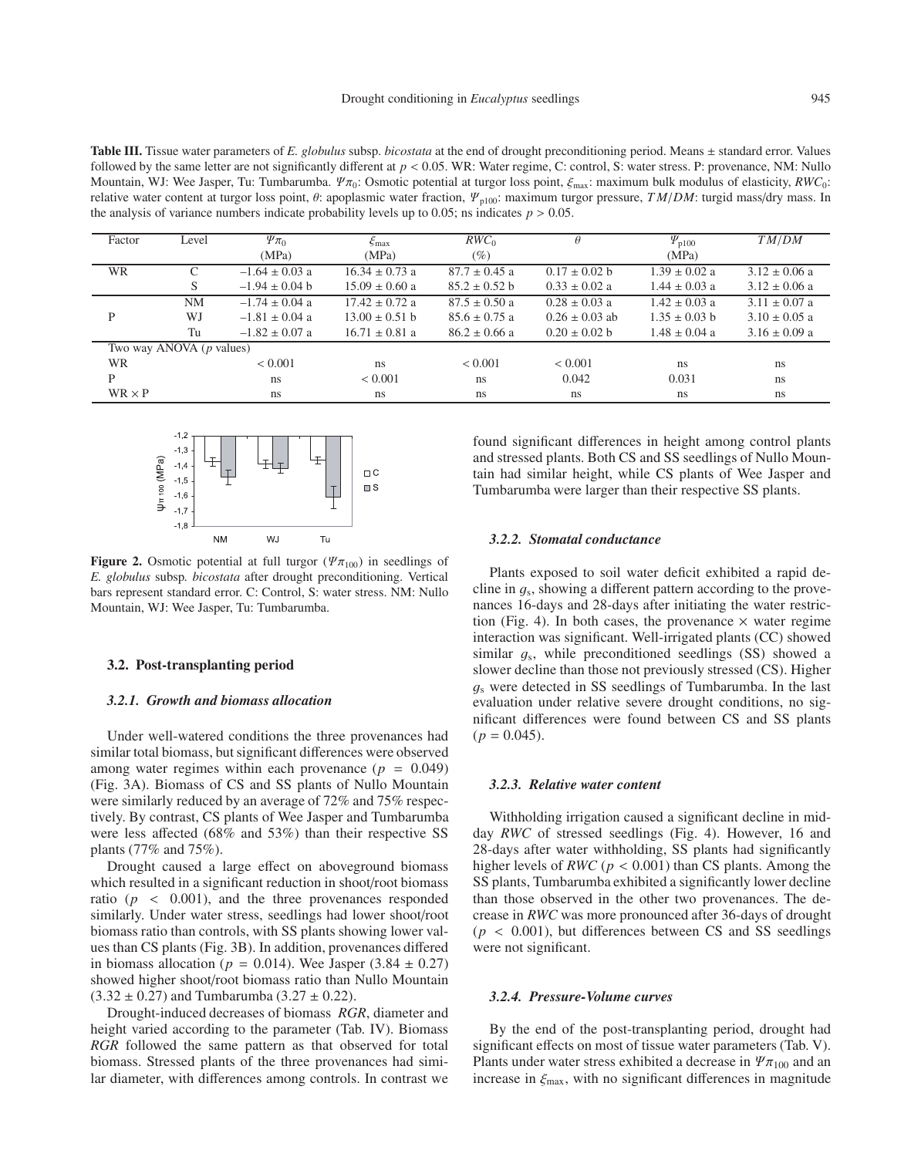**Table III.** Tissue water parameters of *E. globulus* subsp. *bicostata* at the end of drought preconditioning period. Means ± standard error. Values followed by the same letter are not significantly different at *<sup>p</sup>* < 0.05. WR: Water regime, C: control, S: water stress. P: provenance, NM: Nullo Mountain, WJ: Wee Jasper, Tu: Tumbarumba. Ψπ<sub>0</sub>: Osmotic potential at turgor loss point,  $\xi_{\text{max}}$ : maximum bulk modulus of elasticity, *RWC*<sub>0</sub>: relative water content at turgor loss point, θ: apoplasmic water fraction, Ψp100: maximum turgor pressure, *T M*/*DM*: turgid mass/dry mass. In the analysis of variance numbers indicate probability levels up to 0.05; ns indicates  $p > 0.05$ .

| Factor                             | Level     | $\Psi$ $\pi_0$     | $\xi_{\rm max}$    | $RWC_0$           | $\theta$          | $\Psi_{\text{p100}}$ | TM/DM             |
|------------------------------------|-----------|--------------------|--------------------|-------------------|-------------------|----------------------|-------------------|
|                                    |           | (MPa)              | (MPa)              | (%)               |                   | (MPa)                |                   |
| WR                                 | C         | $-1.64 \pm 0.03$ a | $16.34 \pm 0.73$ a | $87.7 \pm 0.45$ a | $0.17 \pm 0.02$ b | $1.39 \pm 0.02$ a    | $3.12 \pm 0.06$ a |
|                                    | S         | $-1.94 \pm 0.04$ b | $15.09 \pm 0.60$ a | $85.2 \pm 0.52$ b | $0.33 \pm 0.02$ a | $1.44 \pm 0.03$ a    | $3.12 \pm 0.06$ a |
|                                    | <b>NM</b> | $-1.74 \pm 0.04$ a | $17.42 \pm 0.72$ a | $87.5 \pm 0.50$ a | $0.28 \pm 0.03$ a | $1.42 \pm 0.03$ a    | $3.11 \pm 0.07$ a |
| P                                  | W.J       | $-1.81 \pm 0.04$ a | $13.00 \pm 0.51$ b | $85.6 \pm 0.75$ a | $0.26 + 0.03$ ab  | $1.35 + 0.03$ h      | $3.10 \pm 0.05$ a |
|                                    | Tu        | $-1.82 \pm 0.07$ a | $16.71 \pm 0.81$ a | $86.2 \pm 0.66$ a | $0.20 \pm 0.02$ b | $1.48 \pm 0.04$ a    | $3.16 \pm 0.09$ a |
| Two way ANOVA $(p \text{ values})$ |           |                    |                    |                   |                   |                      |                   |
| <b>WR</b>                          |           | < 0.001            | ns                 | < 0.001           | < 0.001           | ns                   | <sub>ns</sub>     |
| P                                  |           | ns                 | < 0.001            | ns                | 0.042             | 0.031                | <sub>ns</sub>     |
| $WR \times P$                      |           | <sub>ns</sub>      | ns                 | ns                | ns                | ns                   | ns                |



**Figure 2.** Osmotic potential at full turgor ( $\Psi \pi_{100}$ ) in seedlings of *E. globulus* subsp*. bicostata* after drought preconditioning. Vertical bars represent standard error. C: Control, S: water stress. NM: Nullo Mountain, WJ: Wee Jasper, Tu: Tumbarumba.

#### **3.2. Post-transplanting period**

#### *3.2.1. Growth and biomass allocation*

Under well-watered conditions the three provenances had similar total biomass, but significant differences were observed among water regimes within each provenance  $(p = 0.049)$ (Fig. 3A). Biomass of CS and SS plants of Nullo Mountain were similarly reduced by an average of 72% and 75% respectively. By contrast, CS plants of Wee Jasper and Tumbarumba were less affected (68% and 53%) than their respective SS plants (77% and 75%).

Drought caused a large effect on aboveground biomass which resulted in a significant reduction in shoot/root biomass ratio ( $p \leq 0.001$ ), and the three provenances responded similarly. Under water stress, seedlings had lower shoot/root biomass ratio than controls, with SS plants showing lower values than CS plants (Fig. 3B). In addition, provenances differed in biomass allocation ( $p = 0.014$ ). Wee Jasper (3.84  $\pm$  0.27) showed higher shoot/root biomass ratio than Nullo Mountain  $(3.32 \pm 0.27)$  and Tumbarumba  $(3.27 \pm 0.22)$ .

Drought-induced decreases of biomass *RGR*, diameter and height varied according to the parameter (Tab. IV). Biomass *RGR* followed the same pattern as that observed for total biomass. Stressed plants of the three provenances had similar diameter, with differences among controls. In contrast we

found significant differences in height among control plants and stressed plants. Both CS and SS seedlings of Nullo Mountain had similar height, while CS plants of Wee Jasper and Tumbarumba were larger than their respective SS plants.

#### *3.2.2. Stomatal conductance*

Plants exposed to soil water deficit exhibited a rapid decline in  $q_s$ , showing a different pattern according to the provenances 16-days and 28-days after initiating the water restriction (Fig. 4). In both cases, the provenance  $\times$  water regime interaction was significant. Well-irrigated plants (CC) showed similar  $g_s$ , while preconditioned seedlings (SS) showed a slower decline than those not previously stressed (CS). Higher  $g<sub>s</sub>$  were detected in SS seedlings of Tumbarumba. In the last evaluation under relative severe drought conditions, no significant differences were found between CS and SS plants  $(p = 0.045)$ .

#### *3.2.3. Relative water content*

Withholding irrigation caused a significant decline in midday *RWC* of stressed seedlings (Fig. 4). However, 16 and 28-days after water withholding, SS plants had significantly higher levels of *RWC* ( $p < 0.001$ ) than CS plants. Among the SS plants, Tumbarumba exhibited a significantly lower decline than those observed in the other two provenances. The decrease in *RWC* was more pronounced after 36-days of drought  $(p < 0.001)$ , but differences between CS and SS seedlings were not significant.

#### *3.2.4. Pressure-Volume curves*

By the end of the post-transplanting period, drought had significant effects on most of tissue water parameters (Tab. V). Plants under water stress exhibited a decrease in  $\Psi \pi_{100}$  and an increase in  $\xi_{\text{max}}$ , with no significant differences in magnitude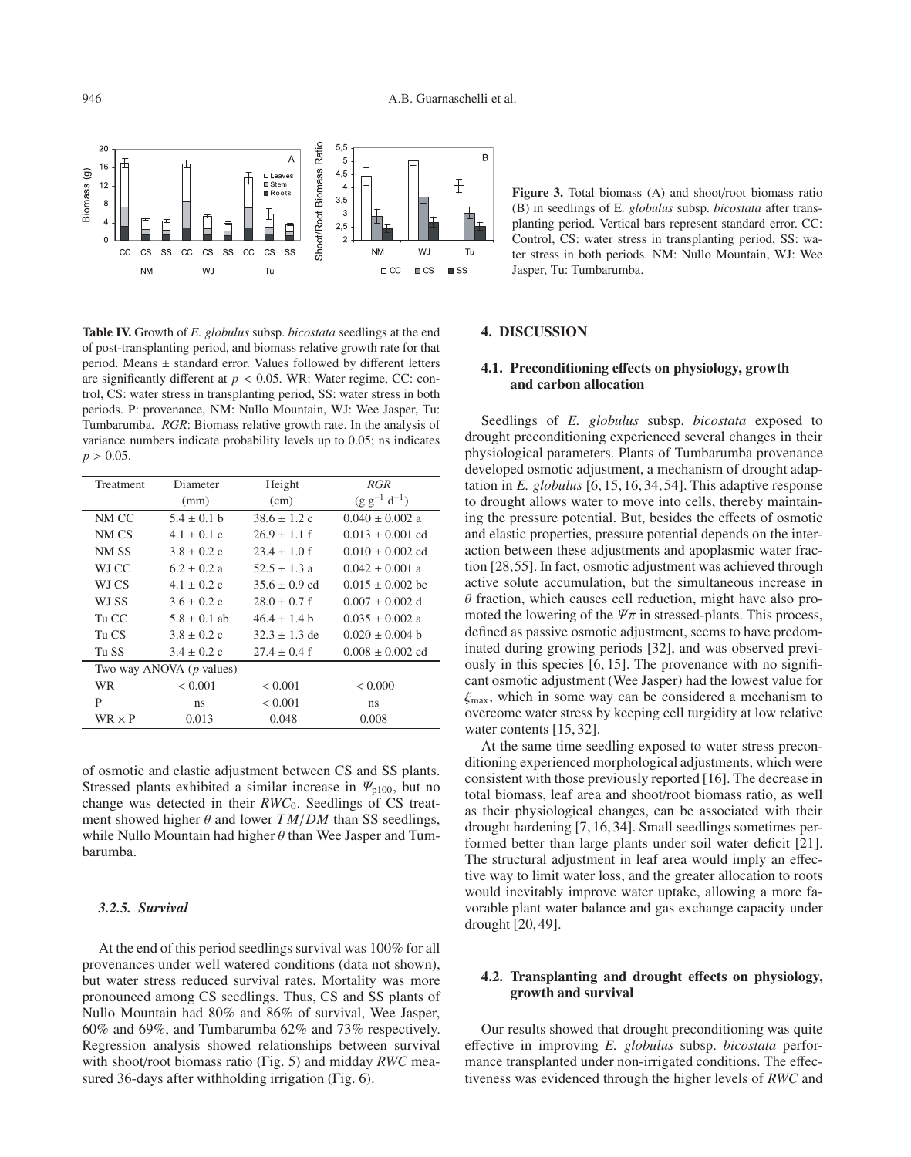

**Table IV.** Growth of *E. globulus* subsp. *bicostata* seedlings at the end of post-transplanting period, and biomass relative growth rate for that period. Means ± standard error. Values followed by different letters are significantly different at  $p < 0.05$ . WR: Water regime, CC: control, CS: water stress in transplanting period, SS: water stress in both periods. P: provenance, NM: Nullo Mountain, WJ: Wee Jasper, Tu: Tumbarumba. *RGR*: Biomass relative growth rate. In the analysis of variance numbers indicate probability levels up to 0.05; ns indicates  $p > 0.05$ .

| Treatment     | Diameter                           | Height            | <b>RGR</b>           |
|---------------|------------------------------------|-------------------|----------------------|
|               | (mm)                               | (cm)              | $(g g^{-1} d^{-1})$  |
| NM CC         | $5.4 \pm 0.1$ b                    | $38.6 \pm 1.2$ c  | $0.040 \pm 0.002$ a  |
| NM CS         | $4.1 + 0.1c$                       | $26.9 \pm 1.1$ f  | $0.013 \pm 0.001$ cd |
| NM SS         | $3.8 \pm 0.2$ c                    | $23.4 \pm 1.0$ f  | $0.010 \pm 0.002$ cd |
| WJ CC         | $6.2 + 0.2 a$                      | $52.5 \pm 1.3$ a  | $0.042 \pm 0.001$ a  |
| WJ CS         | $4.1 \pm 0.2$ c                    | $35.6 \pm 0.9$ cd | $0.015 \pm 0.002$ hc |
| WJ SS         | $3.6 + 0.2c$                       | $28.0 \pm 0.7$ f  | $0.007 \pm 0.002$ d  |
| Tu CC         | $5.8 \pm 0.1$ ab                   | $46.4 \pm 1.4$ b  | $0.035 \pm 0.002$ a  |
| Tu CS         | $3.8 \pm 0.2$ c                    | $32.3 \pm 1.3$ de | $0.020 \pm 0.004$ b  |
| Tu SS         | $3.4 \pm 0.2$ c                    | $27.4 \pm 0.4$ f  | $0.008 \pm 0.002$ cd |
|               | Two way ANOVA $(p \text{ values})$ |                   |                      |
| WR            | < 0.001                            | < 0.001           | < 0.000              |
| P             | ns.                                | ${}_{< 0.001}$    | ns                   |
| $WR \times P$ | 0.013                              | 0.048             | 0.008                |

of osmotic and elastic adjustment between CS and SS plants. Stressed plants exhibited a similar increase in  $\Psi_{p100}$ , but no change was detected in their *RWC*<sub>0</sub>. Seedlings of CS treatment showed higher  $\theta$  and lower  $TM/DM$  than SS seedlings, while Nullo Mountain had higher  $\theta$  than Wee Jasper and Tumbarumba.

## *3.2.5. Survival*

At the end of this period seedlings survival was 100% for all provenances under well watered conditions (data not shown), but water stress reduced survival rates. Mortality was more pronounced among CS seedlings. Thus, CS and SS plants of Nullo Mountain had 80% and 86% of survival, Wee Jasper, 60% and 69%, and Tumbarumba 62% and 73% respectively. Regression analysis showed relationships between survival with shoot/root biomass ratio (Fig. 5) and midday *RWC* measured 36-days after withholding irrigation (Fig. 6).

**Figure 3.** Total biomass (A) and shoot/root biomass ratio (B) in seedlings of E*. globulus* subsp. *bicostata* after transplanting period. Vertical bars represent standard error. CC: Control, CS: water stress in transplanting period, SS: water stress in both periods. NM: Nullo Mountain, WJ: Wee Jasper, Tu: Tumbarumba.

#### **4. DISCUSSION**

# **4.1. Preconditioning e**ff**ects on physiology, growth and carbon allocation**

Seedlings of *E. globulus* subsp. *bicostata* exposed to drought preconditioning experienced several changes in their physiological parameters. Plants of Tumbarumba provenance developed osmotic adjustment, a mechanism of drought adaptation in *E. globulus* [6, 15, 16, 34, 54]. This adaptive response to drought allows water to move into cells, thereby maintaining the pressure potential. But, besides the effects of osmotic and elastic properties, pressure potential depends on the interaction between these adjustments and apoplasmic water fraction [28,55]. In fact, osmotic adjustment was achieved through active solute accumulation, but the simultaneous increase in  $\theta$  fraction, which causes cell reduction, might have also promoted the lowering of the  $\Psi \pi$  in stressed-plants. This process, defined as passive osmotic adjustment, seems to have predominated during growing periods [32], and was observed previously in this species [6, 15]. The provenance with no significant osmotic adjustment (Wee Jasper) had the lowest value for  $\xi_{\text{max}}$ , which in some way can be considered a mechanism to overcome water stress by keeping cell turgidity at low relative water contents [15, 32].

At the same time seedling exposed to water stress preconditioning experienced morphological adjustments, which were consistent with those previously reported [16]. The decrease in total biomass, leaf area and shoot/root biomass ratio, as well as their physiological changes, can be associated with their drought hardening [7, 16, 34]. Small seedlings sometimes performed better than large plants under soil water deficit [21]. The structural adjustment in leaf area would imply an effective way to limit water loss, and the greater allocation to roots would inevitably improve water uptake, allowing a more favorable plant water balance and gas exchange capacity under drought [20, 49].

# **4.2. Transplanting and drought e**ff**ects on physiology, growth and survival**

Our results showed that drought preconditioning was quite effective in improving *E. globulus* subsp. *bicostata* performance transplanted under non-irrigated conditions. The effectiveness was evidenced through the higher levels of *RWC* and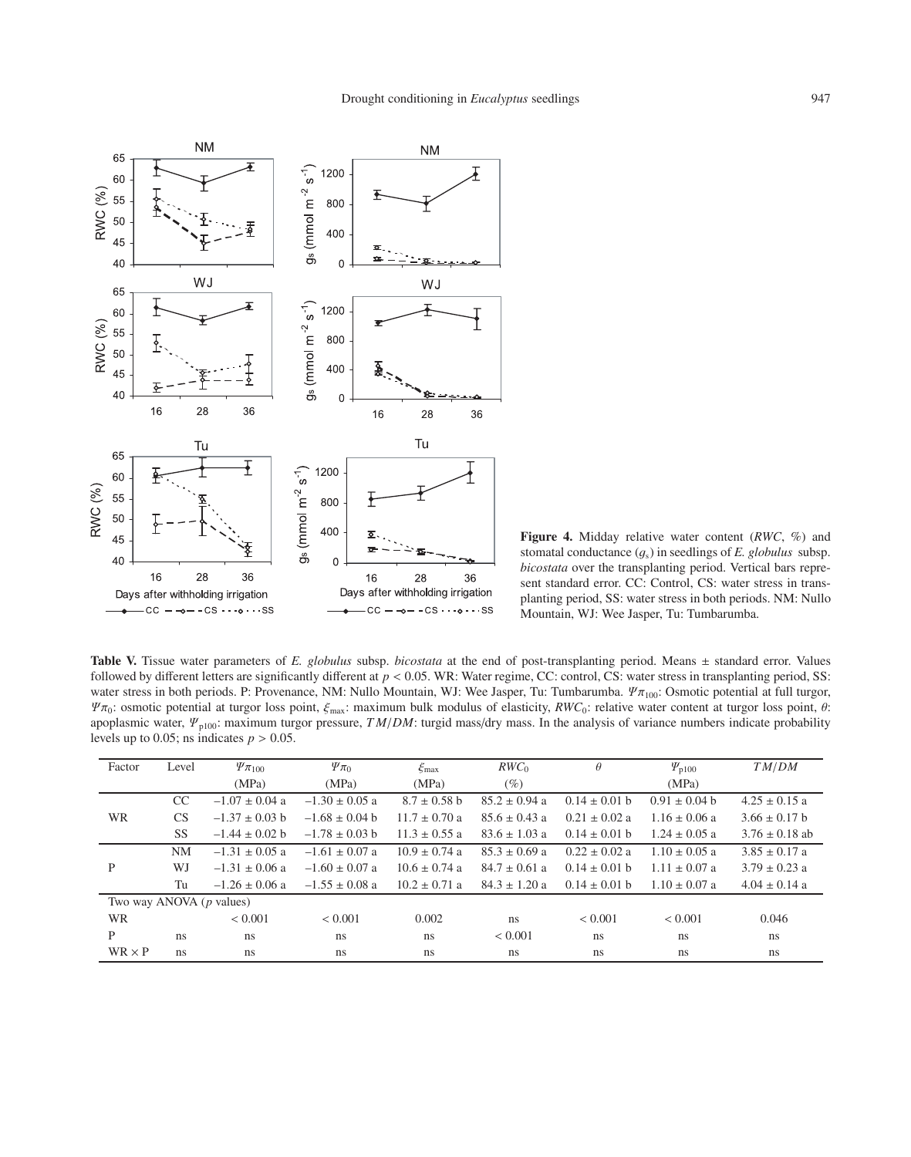

**Figure 4.** Midday relative water content (*RWC*, %) and stomatal conductance (gs) in seedlings of *E. globulus* subsp. *bicostata* over the transplanting period. Vertical bars represent standard error. CC: Control, CS: water stress in transplanting period, SS: water stress in both periods. NM: Nullo Mountain, WJ: Wee Jasper, Tu: Tumbarumba.

**Table V.** Tissue water parameters of *E. globulus* subsp. *bicostata* at the end of post-transplanting period. Means ± standard error. Values followed by different letters are significantly different at  $p < 0.05$ . WR: Water regime, CC: control, CS: water stress in transplanting period, SS: water stress in both periods. P: Provenance, NM: Nullo Mountain, WJ: Wee Jasper, Tu: Tumbarumba.  $\Psi \pi_{100}$ : Osmotic potential at full turgor,  $\Psi \pi_0$ : osmotic potential at turgor loss point,  $\xi_{\text{max}}$ : maximum bulk modulus of elasticity,  $RWC_0$ : relative water content at turgor loss point,  $\theta$ : apoplasmic water, <sup>Ψ</sup>p100: maximum turgor pressure, *T M*/*DM*: turgid mass/dry mass. In the analysis of variance numbers indicate probability levels up to 0.05; ns indicates  $p > 0.05$ .

| Factor                     | Level     | $\Psi_{\pi_{100}}$ | $\Psi$ $\pi_0$     | $\xi_{\text{max}}$ | $RWC_0$           | $\theta$          | $\Psi_{\rm p100}$ | TM/DM              |
|----------------------------|-----------|--------------------|--------------------|--------------------|-------------------|-------------------|-------------------|--------------------|
|                            |           | (MPa)              | (MPa)              | (MPa)              | (%)               |                   | (MPa)             |                    |
|                            | CC        | $-1.07 \pm 0.04$ a | $-1.30 \pm 0.05$ a | $8.7 \pm 0.58$ b   | $85.2 \pm 0.94$ a | $0.14 \pm 0.01$ b | $0.91 \pm 0.04$ b | $4.25 \pm 0.15$ a  |
| WR                         | <b>CS</b> | $-1.37 \pm 0.03$ b | $-1.68 \pm 0.04$ b | $11.7 \pm 0.70$ a  | $85.6 \pm 0.43$ a | $0.21 \pm 0.02$ a | $1.16 \pm 0.06$ a | $3.66 \pm 0.17$ b  |
|                            | SS.       | $-1.44 \pm 0.02$ b | $-1.78 \pm 0.03$ b | $11.3 \pm 0.55$ a  | $83.6 \pm 1.03$ a | $0.14 \pm 0.01$ b | $1.24 \pm 0.05$ a | $3.76 \pm 0.18$ ab |
|                            | NM.       | $-1.31 \pm 0.05$ a | $-1.61 \pm 0.07$ a | $10.9 \pm 0.74$ a  | $85.3 \pm 0.69$ a | $0.22 \pm 0.02$ a | $1.10 \pm 0.05$ a | $3.85 \pm 0.17$ a  |
| P                          | WJ        | $-1.31 \pm 0.06$ a | $-1.60 \pm 0.07$ a | $10.6 \pm 0.74$ a  | $84.7 \pm 0.61$ a | $0.14 \pm 0.01$ b | $1.11 \pm 0.07$ a | $3.79 \pm 0.23$ a  |
|                            | Tu        | $-1.26 \pm 0.06$ a | $-1.55 \pm 0.08$ a | $10.2 \pm 0.71$ a  | $84.3 \pm 1.20$ a | $0.14 \pm 0.01$ b | $1.10 \pm 0.07$ a | $4.04 \pm 0.14$ a  |
| Two way ANOVA $(p$ values) |           |                    |                    |                    |                   |                   |                   |                    |
| WR                         |           | < 0.001            | ${}< 0.001$        | 0.002              | ns                | ${}< 0.001$       | < 0.001           | 0.046              |
| P                          | ns        | ns                 | ns                 | ns.                | < 0.001           | <sub>ns</sub>     | ns                | <sub>ns</sub>      |
| $WR \times P$              | ns.       | <sub>ns</sub>      | ns.                | ns.                | <sub>ns</sub>     | ns                | <sub>ns</sub>     | <sub>ns</sub>      |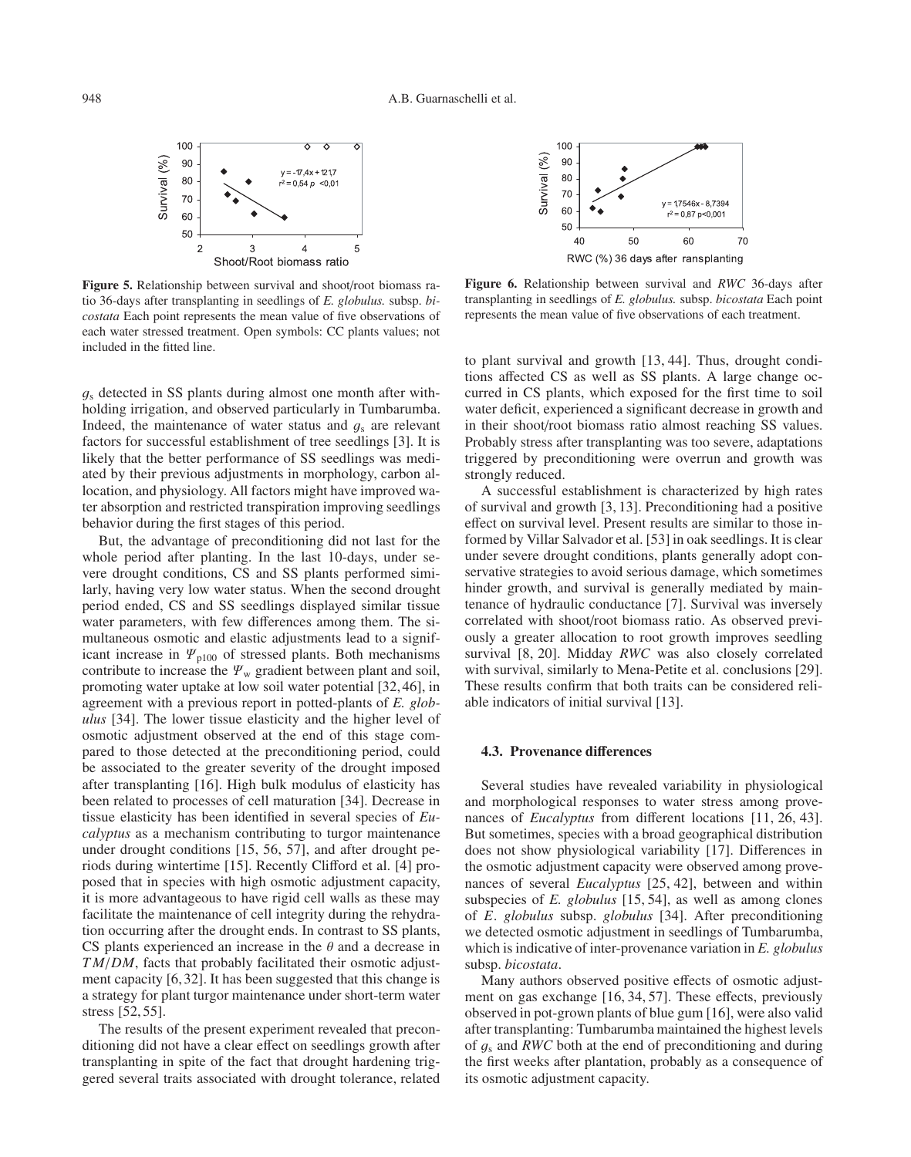

**Figure 5.** Relationship between survival and shoot/root biomass ratio 36-days after transplanting in seedlings of *E. globulus.* subsp. *bicostata* Each point represents the mean value of five observations of each water stressed treatment. Open symbols: CC plants values; not included in the fitted line.

 $g<sub>s</sub>$  detected in SS plants during almost one month after withholding irrigation, and observed particularly in Tumbarumba. Indeed, the maintenance of water status and  $q_s$  are relevant factors for successful establishment of tree seedlings [3]. It is likely that the better performance of SS seedlings was mediated by their previous adjustments in morphology, carbon allocation, and physiology. All factors might have improved water absorption and restricted transpiration improving seedlings behavior during the first stages of this period.

But, the advantage of preconditioning did not last for the whole period after planting. In the last 10-days, under severe drought conditions, CS and SS plants performed similarly, having very low water status. When the second drought period ended, CS and SS seedlings displayed similar tissue water parameters, with few differences among them. The simultaneous osmotic and elastic adjustments lead to a significant increase in  $\Psi_{\text{p100}}$  of stressed plants. Both mechanisms contribute to increase the  $\Psi_w$  gradient between plant and soil, promoting water uptake at low soil water potential [32, 46], in agreement with a previous report in potted-plants of *E. globulus* [34]. The lower tissue elasticity and the higher level of osmotic adjustment observed at the end of this stage compared to those detected at the preconditioning period, could be associated to the greater severity of the drought imposed after transplanting [16]. High bulk modulus of elasticity has been related to processes of cell maturation [34]. Decrease in tissue elasticity has been identified in several species of *Eucalyptus* as a mechanism contributing to turgor maintenance under drought conditions [15, 56, 57], and after drought periods during wintertime [15]. Recently Clifford et al. [4] proposed that in species with high osmotic adjustment capacity, it is more advantageous to have rigid cell walls as these may facilitate the maintenance of cell integrity during the rehydration occurring after the drought ends. In contrast to SS plants, CS plants experienced an increase in the  $\theta$  and a decrease in *T M*/*DM*, facts that probably facilitated their osmotic adjustment capacity [6,32]. It has been suggested that this change is a strategy for plant turgor maintenance under short-term water stress [52, 55].

The results of the present experiment revealed that preconditioning did not have a clear effect on seedlings growth after transplanting in spite of the fact that drought hardening triggered several traits associated with drought tolerance, related



**Figure 6.** Relationship between survival and *RWC* 36-days after transplanting in seedlings of *E. globulus.* subsp. *bicostata* Each point represents the mean value of five observations of each treatment.

to plant survival and growth [13, 44]. Thus, drought conditions affected CS as well as SS plants. A large change occurred in CS plants, which exposed for the first time to soil water deficit, experienced a significant decrease in growth and in their shoot/root biomass ratio almost reaching SS values. Probably stress after transplanting was too severe, adaptations triggered by preconditioning were overrun and growth was strongly reduced.

A successful establishment is characterized by high rates of survival and growth [3, 13]. Preconditioning had a positive effect on survival level. Present results are similar to those informed by Villar Salvador et al. [53] in oak seedlings. It is clear under severe drought conditions, plants generally adopt conservative strategies to avoid serious damage, which sometimes hinder growth, and survival is generally mediated by maintenance of hydraulic conductance [7]. Survival was inversely correlated with shoot/root biomass ratio. As observed previously a greater allocation to root growth improves seedling survival [8, 20]. Midday *RWC* was also closely correlated with survival, similarly to Mena-Petite et al. conclusions [29]. These results confirm that both traits can be considered reliable indicators of initial survival [13].

#### **4.3. Provenance di**ff**erences**

Several studies have revealed variability in physiological and morphological responses to water stress among provenances of *Eucalyptus* from different locations [11, 26, 43]. But sometimes, species with a broad geographical distribution does not show physiological variability [17]. Differences in the osmotic adjustment capacity were observed among provenances of several *Eucalyptus* [25, 42], between and within subspecies of *E. globulus* [15, 54], as well as among clones of *<sup>E</sup>*. *globulus* subsp. *globulus* [34]. After preconditioning we detected osmotic adjustment in seedlings of Tumbarumba, which is indicative of inter-provenance variation in *E. globulus* subsp. *bicostata*.

Many authors observed positive effects of osmotic adjustment on gas exchange [16, 34, 57]. These effects, previously observed in pot-grown plants of blue gum [16], were also valid after transplanting: Tumbarumba maintained the highest levels of <sup>g</sup><sup>s</sup> and *RWC* both at the end of preconditioning and during the first weeks after plantation, probably as a consequence of its osmotic adjustment capacity.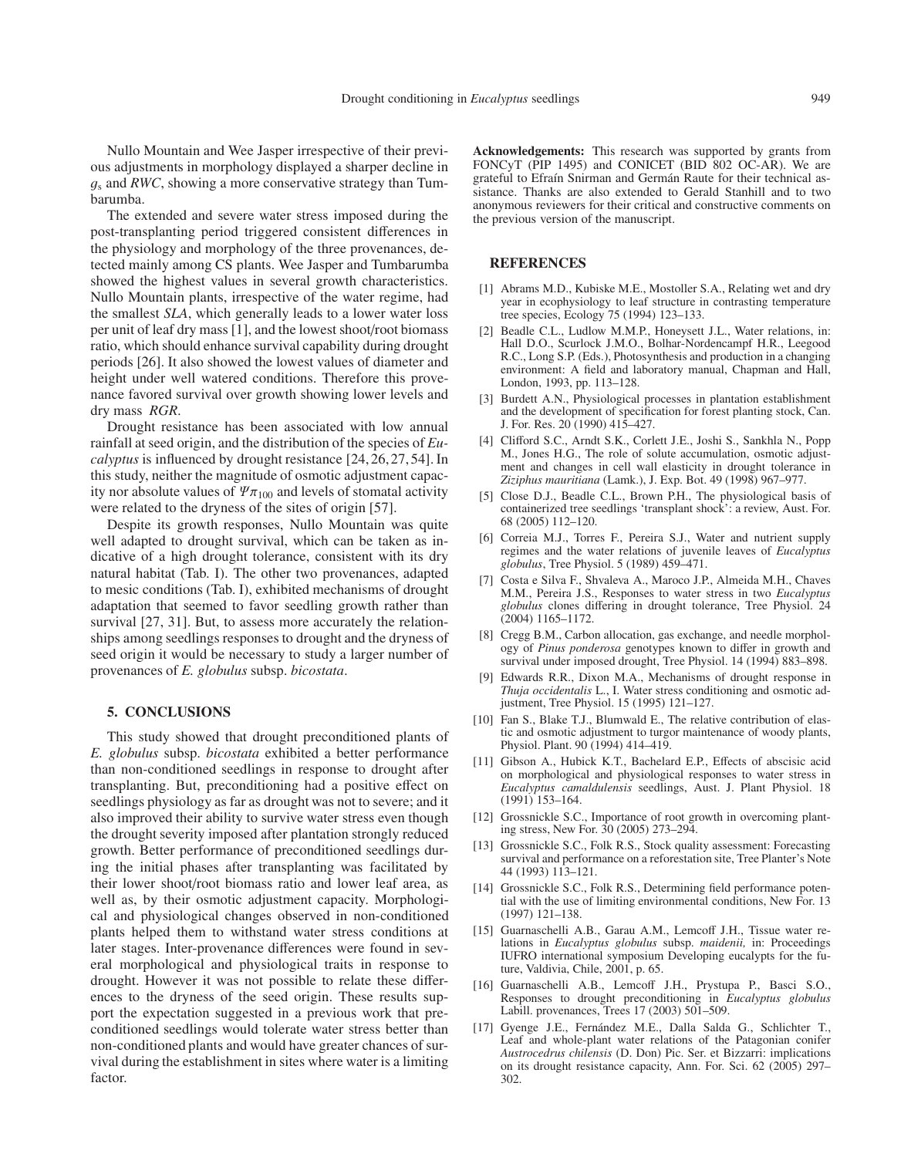Nullo Mountain and Wee Jasper irrespective of their previous adjustments in morphology displayed a sharper decline in <sup>g</sup><sup>s</sup> and *RWC*, showing a more conservative strategy than Tumbarumba.

The extended and severe water stress imposed during the post-transplanting period triggered consistent differences in the physiology and morphology of the three provenances, detected mainly among CS plants. Wee Jasper and Tumbarumba showed the highest values in several growth characteristics. Nullo Mountain plants, irrespective of the water regime, had the smallest *SLA*, which generally leads to a lower water loss per unit of leaf dry mass [1], and the lowest shoot/root biomass ratio, which should enhance survival capability during drought periods [26]. It also showed the lowest values of diameter and height under well watered conditions. Therefore this provenance favored survival over growth showing lower levels and dry mass *RGR*.

Drought resistance has been associated with low annual rainfall at seed origin, and the distribution of the species of *Eucalyptus* is influenced by drought resistance [24,26,27,54]. In this study, neither the magnitude of osmotic adjustment capacity nor absolute values of  $\Psi \pi_{100}$  and levels of stomatal activity were related to the dryness of the sites of origin [57].

Despite its growth responses, Nullo Mountain was quite well adapted to drought survival, which can be taken as indicative of a high drought tolerance, consistent with its dry natural habitat (Tab. I). The other two provenances, adapted to mesic conditions (Tab. I), exhibited mechanisms of drought adaptation that seemed to favor seedling growth rather than survival [27, 31]. But, to assess more accurately the relationships among seedlings responses to drought and the dryness of seed origin it would be necessary to study a larger number of provenances of *E. globulus* subsp. *bicostata*.

#### **5. CONCLUSIONS**

This study showed that drought preconditioned plants of *E. globulus* subsp. *bicostata* exhibited a better performance than non-conditioned seedlings in response to drought after transplanting. But, preconditioning had a positive effect on seedlings physiology as far as drought was not to severe; and it also improved their ability to survive water stress even though the drought severity imposed after plantation strongly reduced growth. Better performance of preconditioned seedlings during the initial phases after transplanting was facilitated by their lower shoot/root biomass ratio and lower leaf area, as well as, by their osmotic adjustment capacity. Morphological and physiological changes observed in non-conditioned plants helped them to withstand water stress conditions at later stages. Inter-provenance differences were found in several morphological and physiological traits in response to drought. However it was not possible to relate these differences to the dryness of the seed origin. These results support the expectation suggested in a previous work that preconditioned seedlings would tolerate water stress better than non-conditioned plants and would have greater chances of survival during the establishment in sites where water is a limiting factor.

**Acknowledgements:** This research was supported by grants from FONCyT (PIP 1495) and CONICET (BID 802 OC-AR). We are grateful to Efraín Snirman and Germán Raute for their technical assistance. Thanks are also extended to Gerald Stanhill and to two anonymous reviewers for their critical and constructive comments on the previous version of the manuscript.

#### **REFERENCES**

- [1] Abrams M.D., Kubiske M.E., Mostoller S.A., Relating wet and dry year in ecophysiology to leaf structure in contrasting temperature tree species, Ecology 75 (1994) 123–133.
- Beadle C.L., Ludlow M.M.P., Honeysett J.L., Water relations, in: Hall D.O., Scurlock J.M.O., Bolhar-Nordencampf H.R., Leegood R.C., Long S.P. (Eds.), Photosynthesis and production in a changing environment: A field and laboratory manual, Chapman and Hall, London, 1993, pp. 113–128.
- [3] Burdett A.N., Physiological processes in plantation establishment and the development of specification for forest planting stock, Can. J. For. Res. 20 (1990) 415–427.
- [4] Clifford S.C., Arndt S.K., Corlett J.E., Joshi S., Sankhla N., Popp M., Jones H.G., The role of solute accumulation, osmotic adjustment and changes in cell wall elasticity in drought tolerance in *Ziziphus mauritiana* (Lamk.), J. Exp. Bot. 49 (1998) 967–977.
- [5] Close D.J., Beadle C.L., Brown P.H., The physiological basis of containerized tree seedlings 'transplant shock': a review, Aust. For. 68 (2005) 112–120.
- [6] Correia M.J., Torres F., Pereira S.J., Water and nutrient supply regimes and the water relations of juvenile leaves of *Eucalyptus globulus*, Tree Physiol. 5 (1989) 459–471.
- [7] Costa e Silva F., Shvaleva A., Maroco J.P., Almeida M.H., Chaves M.M., Pereira J.S., Responses to water stress in two *Eucalyptus globulus* clones differing in drought tolerance, Tree Physiol. 24 (2004) 1165–1172.
- [8] Cregg B.M., Carbon allocation, gas exchange, and needle morphology of *Pinus ponderosa* genotypes known to differ in growth and survival under imposed drought, Tree Physiol. 14 (1994) 883–898.
- [9] Edwards R.R., Dixon M.A., Mechanisms of drought response in *Thuja occidentalis* L., I. Water stress conditioning and osmotic adjustment, Tree Physiol. 15 (1995) 121–127.
- [10] Fan S., Blake T.J., Blumwald E., The relative contribution of elastic and osmotic adjustment to turgor maintenance of woody plants, Physiol. Plant. 90 (1994) 414–419.
- [11] Gibson A., Hubick K.T., Bachelard E.P., Effects of abscisic acid on morphological and physiological responses to water stress in *Eucalyptus camaldulensis* seedlings, Aust. J. Plant Physiol. 18 (1991) 153–164.
- [12] Grossnickle S.C., Importance of root growth in overcoming planting stress, New For. 30 (2005) 273–294.
- [13] Grossnickle S.C., Folk R.S., Stock quality assessment: Forecasting survival and performance on a reforestation site, Tree Planter's Note 44 (1993) 113–121.
- [14] Grossnickle S.C., Folk R.S., Determining field performance potential with the use of limiting environmental conditions, New For. 13 (1997) 121–138.
- [15] Guarnaschelli A.B., Garau A.M., Lemcoff J.H., Tissue water relations in *Eucalyptus globulus* subsp. *maidenii,* in: Proceedings IUFRO international symposium Developing eucalypts for the future, Valdivia, Chile, 2001, p. 65.
- [16] Guarnaschelli A.B., Lemcoff J.H., Prystupa P., Basci S.O., Responses to drought preconditioning in *Eucalyptus globulus* Labill. provenances, Trees 17 (2003) 501–509.
- [17] Gyenge J.E., Fernández M.E., Dalla Salda G., Schlichter T., Leaf and whole-plant water relations of the Patagonian conifer *Austrocedrus chilensis* (D. Don) Pic. Ser. et Bizzarri: implications on its drought resistance capacity, Ann. For. Sci. 62 (2005) 297– 302.